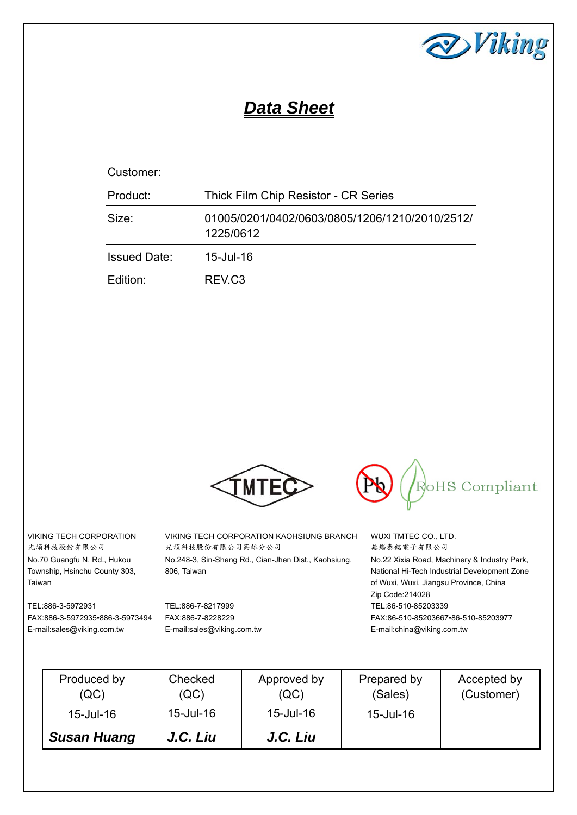

# *Data Sheet*

| Customer:           |                                                             |
|---------------------|-------------------------------------------------------------|
| Product:            | Thick Film Chip Resistor - CR Series                        |
| Size:               | 01005/0201/0402/0603/0805/1206/1210/2010/2512/<br>1225/0612 |
| <b>Issued Date:</b> | 15-Jul-16                                                   |
| Edition:            | REV <sub>.C3</sub>                                          |



VIKING TECH CORPORATION 光頡科技股份有限公司 No.70 Guangfu N. Rd., Hukou Township, Hsinchu County 303, Taiwan

TEL:886-3-5972931 FAX:886-3-5972935•886-3-5973494 E-mail:sales@viking.com.tw

VIKING TECH CORPORATION KAOHSIUNG BRANCH 光頡科技股份有限公司高雄分公司 No.248-3, Sin-Sheng Rd., Cian-Jhen Dist., Kaohsiung, 806, Taiwan

TEL:886-7-8217999 FAX:886-7-8228229 E-mail:sales@viking.com.tw



WUXI TMTEC CO., LTD. 無錫泰銘電子有限公司 No.22 Xixia Road, Machinery & Industry Park, National Hi-Tech Industrial Development Zone of Wuxi, Wuxi, Jiangsu Province, China Zip Code:214028 TEL:86-510-85203339 FAX:86-510-85203667•86-510-85203977 E-mail:china@viking.com.tw

| Produced by<br>(QC) | Checked<br>(QC) | Approved by<br>(QC) | Prepared by<br>(Sales) | Accepted by<br>(Customer) |
|---------------------|-----------------|---------------------|------------------------|---------------------------|
| 15-Jul-16           | 15-Jul-16       | 15-Jul-16           | 15-Jul-16              |                           |
| <b>Susan Huang</b>  | J.C. Liu        | J.C. Liu            |                        |                           |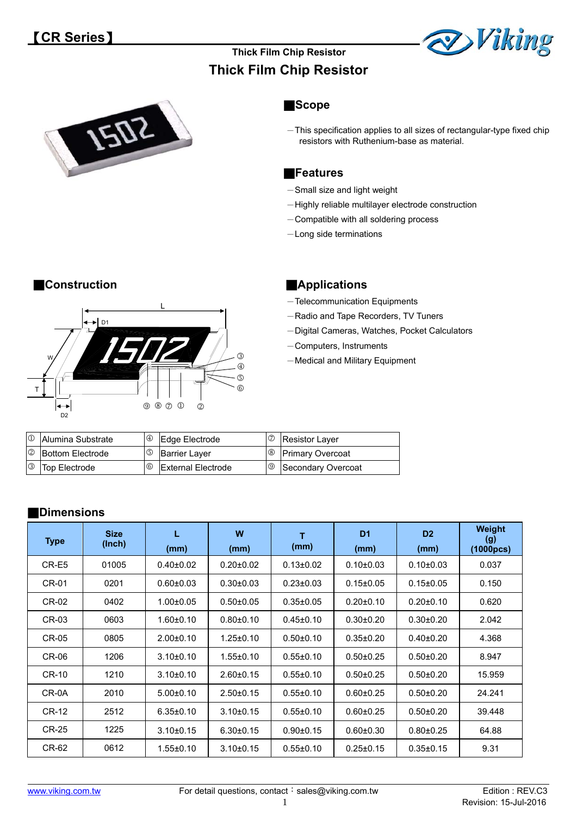

## **Thick Film Chip Resistor Thick Film Chip Resistor**



### ■**Scope**

 $-$ This specification applies to all sizes of rectangular-type fixed chip resistors with Ruthenium-base as material.

### ■**Features**

- -Small size and light weight
- -Highly reliable multilayer electrode construction
- Compatible with all soldering process
- -Long side terminations



### ■**Construction ● Applications**

- -Telecommunication Equipments
- -Radio and Tape Recorders, TV Tuners
- -Digital Cameras, Watches, Pocket Calculators
- -Computers, Instruments
- -Medical and Military Equipment

| <b>1</b> Alumina Substrate |             | $\circ$ Edge Electrode    | C Resistor Layer              |
|----------------------------|-------------|---------------------------|-------------------------------|
| <b>2</b> Bottom Electrode  | $\circledS$ | <b>Barrier Laver</b>      | <sup>8</sup> Primary Overcoat |
| <b>3</b> Top Electrode     | $^{\circ}$  | <b>External Electrode</b> | <b>9</b> Secondary Overcoat   |

### ■**Dimensions**

| <b>Type</b>  | <b>Size</b><br>(Inch) | L<br>(mm)       | W<br>(mm)       | т<br>(mm)       | D <sub>1</sub><br>(mm) | D <sub>2</sub><br>(mm) | Weight<br>(g)<br>(1000pcs) |
|--------------|-----------------------|-----------------|-----------------|-----------------|------------------------|------------------------|----------------------------|
| CR-E5        | 01005                 | $0.40 \pm 0.02$ | $0.20 \pm 0.02$ | $0.13 \pm 0.02$ | $0.10 \pm 0.03$        | $0.10 \pm 0.03$        | 0.037                      |
| CR-01        | 0201                  | $0.60 \pm 0.03$ | $0.30 \pm 0.03$ | $0.23 \pm 0.03$ | $0.15 \pm 0.05$        | $0.15 \pm 0.05$        | 0.150                      |
| CR-02        | 0402                  | $1.00 \pm 0.05$ | $0.50 \pm 0.05$ | $0.35 \pm 0.05$ | $0.20 \pm 0.10$        | $0.20 \pm 0.10$        | 0.620                      |
| CR-03        | 0603                  | $1.60 \pm 0.10$ | $0.80 \pm 0.10$ | $0.45 \pm 0.10$ | $0.30 \pm 0.20$        | $0.30 \pm 0.20$        | 2.042                      |
| CR-05        | 0805                  | $2.00 \pm 0.10$ | $1.25 \pm 0.10$ | $0.50 + 0.10$   | $0.35 \pm 0.20$        | $0.40 \pm 0.20$        | 4.368                      |
| CR-06        | 1206                  | $3.10 \pm 0.10$ | $1.55 \pm 0.10$ | $0.55 \pm 0.10$ | $0.50 + 0.25$          | $0.50 \pm 0.20$        | 8.947                      |
| <b>CR-10</b> | 1210                  | $3.10 \pm 0.10$ | $2.60 \pm 0.15$ | $0.55 \pm 0.10$ | $0.50 + 0.25$          | $0.50 \pm 0.20$        | 15.959                     |
| CR-0A        | 2010                  | $5.00 \pm 0.10$ | $2.50 \pm 0.15$ | $0.55 \pm 0.10$ | $0.60 + 0.25$          | $0.50 + 0.20$          | 24.241                     |
| CR-12        | 2512                  | $6.35 \pm 0.10$ | $3.10 \pm 0.15$ | $0.55 \pm 0.10$ | $0.60 + 0.25$          | $0.50 + 0.20$          | 39.448                     |
| <b>CR-25</b> | 1225                  | $3.10 \pm 0.15$ | $6.30 \pm 0.15$ | $0.90 + 0.15$   | $0.60 + 0.30$          | $0.80 + 0.25$          | 64.88                      |
| CR-62        | 0612                  | $1.55 \pm 0.10$ | $3.10 \pm 0.15$ | $0.55 \pm 0.10$ | $0.25 \pm 0.15$        | $0.35 \pm 0.15$        | 9.31                       |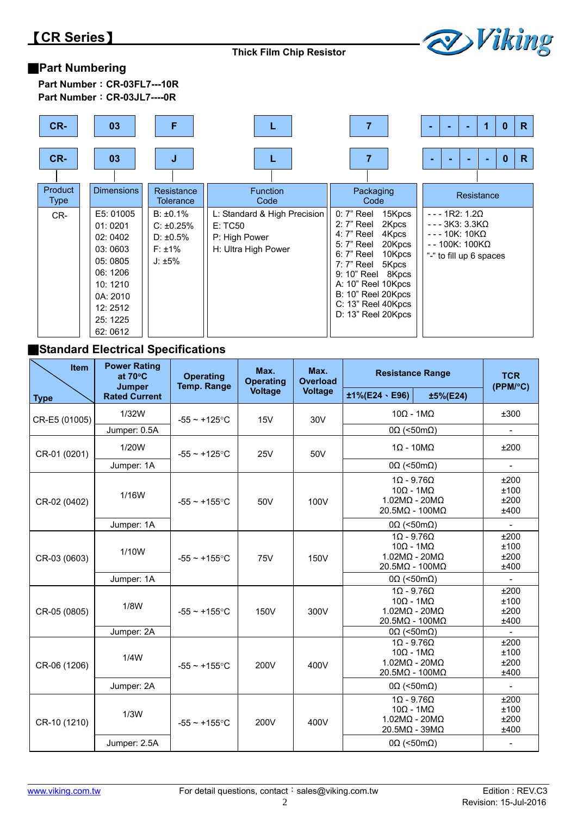

## ■**Part Numbering**

| Part Number: CR-03FL7---10R |
|-----------------------------|
| Part Number: CR-03JL7----0R |

| CR-             | 03                                                                                                                        | F                                                                             | L                                                                               |                                                                                                                                                                                                                                                          | R<br>0<br>۰                                                                                                |
|-----------------|---------------------------------------------------------------------------------------------------------------------------|-------------------------------------------------------------------------------|---------------------------------------------------------------------------------|----------------------------------------------------------------------------------------------------------------------------------------------------------------------------------------------------------------------------------------------------------|------------------------------------------------------------------------------------------------------------|
| CR-             | 03                                                                                                                        | J                                                                             |                                                                                 |                                                                                                                                                                                                                                                          | R<br>0                                                                                                     |
| Product<br>Type | <b>Dimensions</b>                                                                                                         | Resistance<br>Tolerance                                                       | <b>Function</b><br>Code                                                         | Packaging<br>Code                                                                                                                                                                                                                                        | Resistance                                                                                                 |
| CR-             | E5: 01005<br>01:0201<br>02:0402<br>03:0603<br>05:0805<br>06:1206<br>10:1210<br>0A: 2010<br>12:2512<br>25: 1225<br>62:0612 | $B: \pm 0.1\%$<br>$C: \pm 0.25\%$<br>$D: \pm 0.5\%$<br>$F: \pm 1\%$<br>J: ±5% | L: Standard & High Precision<br>E: TC50<br>P: High Power<br>H: Ultra High Power | $0:7"$ Reel<br>15Kpcs<br>2Kpcs<br>$2:7"$ Reel<br>4: 7" Reel<br>4Kpcs<br>5: 7" Reel<br>20Kpcs<br>6: 7" Reel<br>10Kpcs<br>5Kpcs<br>7: 7" Reel<br>9: 10" Reel 8Kpcs<br>A: 10" Reel 10Kpcs<br>B: 10" Reel 20Kpcs<br>C: 13" Reel 40Kpcs<br>D: 13" Reel 20Kpcs | $--1R2:1.2Q$<br>$--$ 3K3: 3.3K $\Omega$<br>$--10K:10K\Omega$<br>- - 100K: 100KΩ<br>"-" to fill up 6 spaces |

### ■**Standard Electrical Specifications**

| Item          | <b>Power Rating</b><br>at $70^{\circ}$ C<br><b>Jumper</b> | <b>Operating</b><br><b>Temp. Range</b> | Max.<br>Max.<br><b>Overload</b><br><b>Operating</b> |                                                                                                           | <b>Resistance Range</b>                                                                                      |                       | <b>TCR</b><br>(PPM/°C)       |
|---------------|-----------------------------------------------------------|----------------------------------------|-----------------------------------------------------|-----------------------------------------------------------------------------------------------------------|--------------------------------------------------------------------------------------------------------------|-----------------------|------------------------------|
| <b>Type</b>   | <b>Rated Current</b>                                      |                                        | <b>Voltage</b>                                      | <b>Voltage</b>                                                                                            | $±1\%$ (E24、E96)                                                                                             | ±5%(E24)              |                              |
| CR-E5 (01005) | 1/32W                                                     | $-55 - +125$ °C                        | 15V                                                 | 30V                                                                                                       | $10\Omega - 1M\Omega$                                                                                        |                       | ±300                         |
|               | Jumper: 0.5A                                              |                                        |                                                     |                                                                                                           | $0\Omega$ (<50m $\Omega$ )                                                                                   |                       | $\overline{\phantom{a}}$     |
| CR-01 (0201)  | 1/20W                                                     | $-55 - +125$ °C                        | <b>25V</b>                                          | 50V                                                                                                       |                                                                                                              | $1\Omega - 10M\Omega$ | ±200                         |
|               | Jumper: 1A                                                |                                        |                                                     |                                                                                                           | $0\Omega$ (<50m $\Omega$ )                                                                                   |                       |                              |
| CR-02 (0402)  | 1/16W                                                     | $-55 - +155$ °C                        | 50V                                                 | 100V                                                                                                      | $1\Omega - 9.76\Omega$<br>$10\Omega - 1M\Omega$<br>$1.02M\Omega$ - $20M\Omega$<br>$20.5M\Omega - 100M\Omega$ |                       | ±200<br>±100<br>±200<br>±400 |
|               | Jumper: 1A                                                |                                        |                                                     |                                                                                                           | $0\Omega$ (<50m $\Omega$ )                                                                                   |                       | $\overline{\phantom{a}}$     |
| CR-03 (0603)  | 1/10W                                                     | $-55 \sim +155$ °C                     | 75V                                                 | 150V                                                                                                      | $1\Omega - 9.76\Omega$<br>$10\Omega - 1M\Omega$<br>$1.02M\Omega$ - $20M\Omega$<br>$20.5M\Omega - 100M\Omega$ |                       | ±200<br>±100<br>±200<br>±400 |
|               | Jumper: 1A                                                |                                        |                                                     |                                                                                                           | $0\Omega$ (<50m $\Omega$ )                                                                                   |                       | $\blacksquare$               |
| CR-05 (0805)  | 1/8W                                                      | $-55 - +155$ °C                        | 150V                                                | $\overline{10}$ - 9.760<br>$10Ω - 1MΩ$<br>$1.02M\Omega - 20M\Omega$<br>300V<br>$20.5M\Omega - 100M\Omega$ |                                                                                                              |                       | ±200<br>±100<br>±200<br>±400 |
|               | Jumper: 2A                                                |                                        |                                                     |                                                                                                           | $0\Omega$ (<50m $\Omega$ )                                                                                   |                       |                              |
| CR-06 (1206)  | 1/4W                                                      | $-55 - +155$ °C                        | 200V                                                | 400V                                                                                                      | $1\Omega - 9.76\Omega$<br>$10Ω - 1MΩ$<br>$1.02M\Omega$ - $20M\Omega$<br>$20.5M\Omega - 100M\Omega$           |                       | ±200<br>±100<br>±200<br>±400 |
|               | Jumper: 2A                                                |                                        |                                                     |                                                                                                           | $0\Omega$ (<50m $\Omega$ )                                                                                   |                       | $\overline{a}$               |
| CR-10 (1210)  | 1/3W                                                      | $-55 - +155$ °C                        | 200V                                                | 400V                                                                                                      | $1\Omega - 9.76\Omega$<br>$10\Omega - 1M\Omega$<br>$1.02M\Omega$ - $20M\Omega$<br>$20.5M\Omega - 39M\Omega$  |                       | ±200<br>±100<br>±200<br>±400 |
|               | Jumper: 2.5A                                              |                                        |                                                     |                                                                                                           | $0\Omega$ (<50m $\Omega$ )                                                                                   |                       |                              |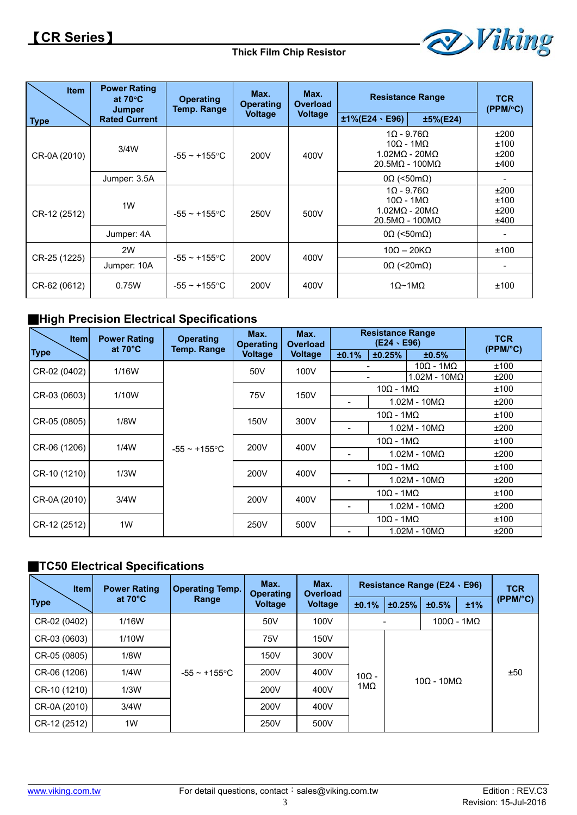

| <b>Item</b>  | <b>Power Rating</b><br>at $70^{\circ}$ C<br><b>Jumper</b> | <b>Operating</b><br>Temp. Range | Max.<br>Max.<br><b>Operating</b><br>Overload |                | <b>Resistance Range</b>                                                                                       |          | <b>TCR</b><br>(PPM/°C)       |
|--------------|-----------------------------------------------------------|---------------------------------|----------------------------------------------|----------------|---------------------------------------------------------------------------------------------------------------|----------|------------------------------|
| <b>Type</b>  | <b>Rated Current</b>                                      |                                 | <b>Voltage</b>                               | <b>Voltage</b> | $±1\%$ (E24 $\cdot$ E96)                                                                                      | ±5%(E24) |                              |
| CR-0A (2010) | 3/4W                                                      | $-55 \sim +155$ °C              | 200V                                         | 400V           | $1\Omega - 9.76\Omega$<br>$10Ω - 1MΩ$<br>1.02MΩ - 20MΩ<br>$20.5M\Omega - 100M\Omega$                          |          | ±200<br>±100<br>±200<br>±400 |
|              | Jumper: 3.5A                                              |                                 |                                              |                | $0\Omega$ (<50m $\Omega$ )                                                                                    |          |                              |
| CR-12 (2512) | 1W                                                        | $-55 \sim +155$ °C              | 250V                                         | 500V           | $1\Omega$ - 9.76 $\Omega$<br>$10Ω - 1MΩ$<br>$1.02$ M $\Omega$ - $20$ M $\Omega$<br>$20.5M\Omega - 100M\Omega$ |          | ±200<br>±100<br>±200<br>±400 |
|              | Jumper: 4A                                                |                                 |                                              |                | $0\Omega$ (<50m $\Omega$ )                                                                                    |          |                              |
|              | 2W                                                        |                                 | 200V                                         | 400V           | $10\Omega - 20K\Omega$                                                                                        |          | ±100                         |
| CR-25 (1225) | Jumper: 10A                                               | -55 $\sim$ +155°C               |                                              |                | $0\Omega$ (<20m $\Omega$ )                                                                                    |          |                              |
| CR-62 (0612) | 0.75W                                                     | -55 $\sim$ +155°C               | 200V                                         | 400V           | $1\Omega$ ~1M $\Omega$                                                                                        |          | ±100                         |

## ■**High Precision Electrical Specifications**

| <b>Item</b>  | <b>Power Rating</b><br>at $70^{\circ}$ C | <b>Operating</b>   | Max.<br><b>Operating</b> | Max.<br><b>Overload</b> | <b>Resistance Range</b><br>$(E24 \cdot E96)$ |                     |                               | <b>TCR</b><br>$(PPM/^{\circ}C)$ |      |
|--------------|------------------------------------------|--------------------|--------------------------|-------------------------|----------------------------------------------|---------------------|-------------------------------|---------------------------------|------|
| <b>Type</b>  |                                          | <b>Temp. Range</b> | Voltage                  | <b>Voltage</b>          | ±0.1%                                        | ±0.25%              | ±0.5%                         |                                 |      |
| CR-02 (0402) | 1/16W                                    |                    | 50V                      | 100V                    |                                              |                     | $10Ω - 1MΩ$                   | ±100                            |      |
|              |                                          |                    |                          |                         |                                              |                     | $1.02M - 10M\Omega$           | ±200                            |      |
| CR-03 (0603) | 1/10W                                    |                    | 75V                      | 150V                    |                                              | $10Ω - 1MΩ$         |                               | ±100                            |      |
|              |                                          |                    |                          |                         | $\overline{\phantom{a}}$                     |                     | $1.02M - 10M\Omega$           | ±200                            |      |
|              | 1/8W                                     |                    | 300V                     |                         | 150V                                         | $10Ω - 1MΩ$         |                               | ±100                            |      |
| CR-05 (0805) |                                          |                    |                          |                         |                                              | $1.02M - 10M\Omega$ | ±200                          |                                 |      |
| CR-06 (1206) | 1/4W                                     |                    | 400V                     |                         |                                              | $10Ω - 1MΩ$         |                               | ±100                            |      |
|              |                                          | $-55 \sim +155$ °C | 200V                     |                         |                                              | $1.02M - 10M\Omega$ | ±200                          |                                 |      |
|              | 1/3W                                     |                    |                          | 200V                    | 400V                                         |                     | $10\Omega - 1 \text{M}\Omega$ |                                 | ±100 |
| CR-10 (1210) |                                          |                    |                          |                         |                                              | $1.02M - 10M\Omega$ |                               | ±200                            |      |
|              | 3/4W                                     |                    | 200V                     | 400V                    |                                              | $10Ω - 1MΩ$         |                               | ±100                            |      |
| CR-0A (2010) |                                          |                    |                          |                         |                                              |                     |                               | $1.02M - 10M\Omega$             | ±200 |
| CR-12 (2512) | 1W                                       |                    | 250V                     |                         |                                              | $10Ω - 1MΩ$         |                               | ±100                            |      |
|              |                                          |                    |                          | 500V                    |                                              |                     | $1.02M - 10M\Omega$           | ±200                            |      |

### ■**TC50 Electrical Specifications**

| <b>Item</b>  | <b>Power Rating</b> | Max.<br>Max.<br><b>Operating Temp.</b><br><b>Operating</b><br>Overload<br>at $70^{\circ}$ C<br>Range<br><b>Voltage</b><br>Voltage |      | Resistance Range (E24 \ E96) |              |        |                               | <b>TCR</b>   |                   |
|--------------|---------------------|-----------------------------------------------------------------------------------------------------------------------------------|------|------------------------------|--------------|--------|-------------------------------|--------------|-------------------|
| <b>Type</b>  |                     |                                                                                                                                   |      |                              | ±0.1%        | ±0.25% | ±0.5%                         | ±1%          | $(PPM/^{\circ}C)$ |
| CR-02 (0402) | 1/16W               |                                                                                                                                   | 50V  | 100V                         |              |        |                               | $100Ω - 1MΩ$ |                   |
| CR-03 (0603) | 1/10W               |                                                                                                                                   | 75V  | 150V                         |              |        |                               |              |                   |
| CR-05 (0805) | 1/8W                |                                                                                                                                   | 150V | 300V                         |              |        |                               |              |                   |
| CR-06 (1206) | 1/4W                | -55 $\sim$ +155°C                                                                                                                 | 200V | 400V                         | $10\Omega -$ |        | $10\Omega - 10\text{M}\Omega$ | ±50          |                   |
| CR-10 (1210) | 1/3W                |                                                                                                                                   | 200V | 400V                         | 1MΩ          |        |                               |              |                   |
| CR-0A (2010) | 3/4W                |                                                                                                                                   | 200V | 400V                         |              |        |                               |              |                   |
| CR-12 (2512) | 1W                  |                                                                                                                                   | 250V | 500V                         |              |        |                               |              |                   |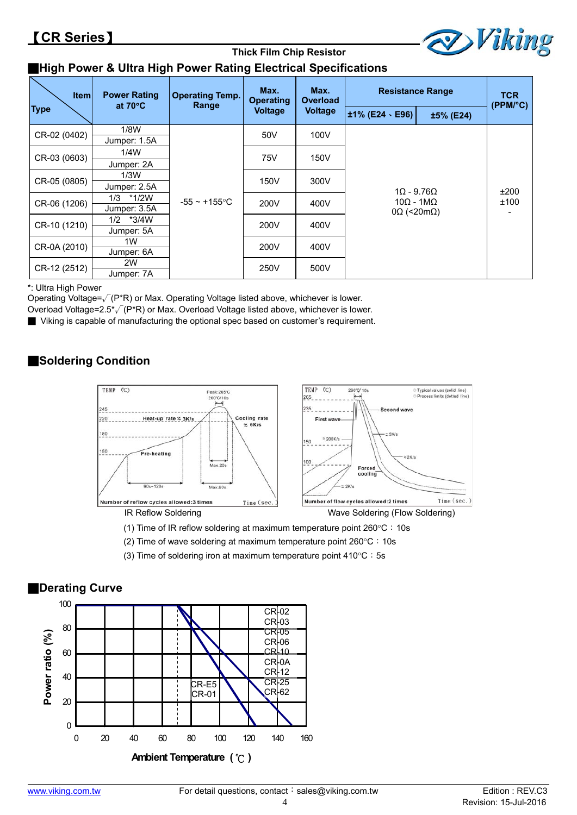

# ■**High Power & Ultra High Power Rating Electrical Specifications**

| <b>Item</b>  | <b>Power Rating</b><br>at $70^{\circ}$ C | <b>Operating Temp.</b><br>Range | Max.<br><b>Operating</b> | Max.<br><b>Overload</b> |                                                                        | <b>Resistance Range</b> | <b>TCR</b><br>(PPM/°C) |  |
|--------------|------------------------------------------|---------------------------------|--------------------------|-------------------------|------------------------------------------------------------------------|-------------------------|------------------------|--|
| <b>Type</b>  |                                          |                                 | <b>Voltage</b>           | <b>Voltage</b>          | ±1% (E24、E96)                                                          | ±5% (E24)               |                        |  |
| CR-02 (0402) | 1/8W                                     |                                 | 50V                      | 100V                    |                                                                        |                         |                        |  |
|              | Jumper: 1.5A                             |                                 |                          |                         |                                                                        |                         |                        |  |
| CR-03 (0603) | 1/4W                                     |                                 | 75V                      | 150V                    |                                                                        |                         |                        |  |
|              | Jumper: 2A                               |                                 |                          |                         |                                                                        |                         | ±200<br>±100           |  |
|              | 1/3W                                     |                                 | 150V                     | 300V                    |                                                                        |                         |                        |  |
| CR-05 (0805) | Jumper: 2.5A                             |                                 |                          |                         |                                                                        |                         |                        |  |
| CR-06 (1206) | 1/3 *1/2W                                | $-55 \sim +155$ °C              | 200V                     | 400V                    | $1\Omega$ - 9.76 $\Omega$<br>$10Ω - 1MΩ$<br>$0\Omega$ (<20m $\Omega$ ) |                         |                        |  |
|              | Jumper: 3.5A                             |                                 |                          |                         |                                                                        |                         |                        |  |
| CR-10 (1210) | *3/4W<br>1/2                             |                                 | 200V                     | 400V                    |                                                                        |                         |                        |  |
| Jumper: 5A   |                                          |                                 |                          |                         |                                                                        |                         |                        |  |
| CR-0A (2010) | 1W                                       |                                 | 200V                     | 400V                    |                                                                        |                         |                        |  |
| Jumper: 6A   |                                          |                                 |                          |                         |                                                                        |                         |                        |  |
|              | 2W                                       |                                 | 250V                     | 500V                    |                                                                        |                         |                        |  |
| CR-12 (2512) | Jumper: 7A                               |                                 |                          |                         |                                                                        |                         |                        |  |

**Thick Film Chip Resistor** 

\*: Ultra High Power

Operating Voltage= $\sqrt{(P^*R)}$  or Max. Operating Voltage listed above, whichever is lower.

Overload Voltage=2.5\*√(P\*R) or Max. Overload Voltage listed above, whichever is lower.

■ Viking is capable of manufacturing the optional spec based on customer's requirement.

### ■**Soldering Condition**



(1) Time of IR reflow soldering at maximum temperature point  $260^{\circ}$ C: 10s

- (2) Time of wave soldering at maximum temperature point  $260^{\circ}$ C: 10s
- (3) Time of soldering iron at maximum temperature point  $410^{\circ}$ C: 5s



# ■**Derating Curve**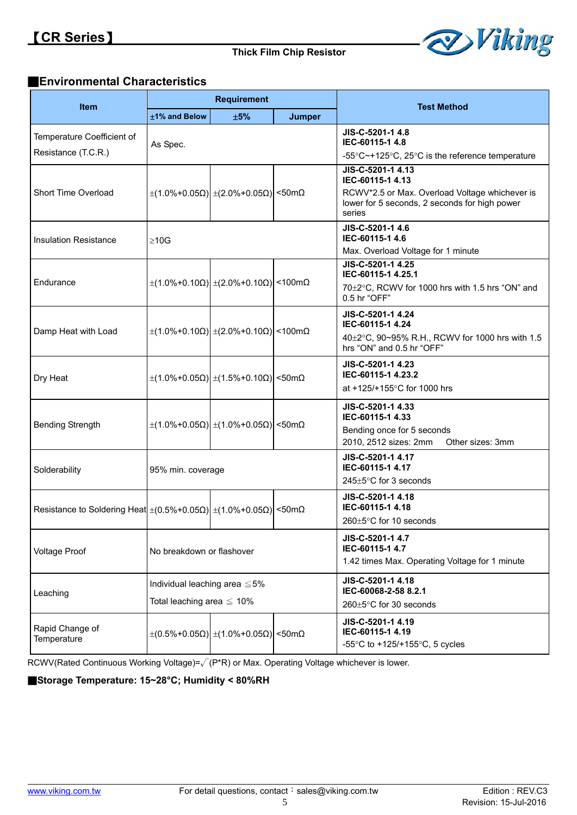

### ■**Environmental Characteristics**

| <b>Item</b>                                                                                    |                           | <b>Requirement</b>                                                     |               | <b>Test Method</b>                                                                                                                                 |  |
|------------------------------------------------------------------------------------------------|---------------------------|------------------------------------------------------------------------|---------------|----------------------------------------------------------------------------------------------------------------------------------------------------|--|
|                                                                                                | ±1% and Below             | ±5%                                                                    | <b>Jumper</b> |                                                                                                                                                    |  |
| Temperature Coefficient of                                                                     | As Spec.                  |                                                                        |               | JIS-C-5201-1 4.8<br>IEC-60115-1 4.8                                                                                                                |  |
| Resistance (T.C.R.)                                                                            |                           |                                                                        |               | -55 $\degree$ C $\sim$ +125 $\degree$ C, 25 $\degree$ C is the reference temperature                                                               |  |
| Short Time Overload                                                                            |                           | $\pm$ (1.0%+0.05Ω) $\pm$ (2.0%+0.05Ω) <50mΩ                            |               | JIS-C-5201-1 4.13<br>IEC-60115-1 4.13<br>RCWV*2.5 or Max. Overload Voltage whichever is<br>lower for 5 seconds, 2 seconds for high power<br>series |  |
| <b>Insulation Resistance</b>                                                                   | $\geq 10$ G               |                                                                        |               | JIS-C-5201-1 4.6<br>IEC-60115-1 4.6                                                                                                                |  |
|                                                                                                |                           |                                                                        |               | Max. Overload Voltage for 1 minute<br>JIS-C-5201-1 4.25                                                                                            |  |
| Endurance                                                                                      |                           | $\pm$ (1.0%+0.10Ω) $\pm$ (2.0%+0.10Ω) <100mΩ                           |               | IEC-60115-1 4.25.1<br>70±2°C, RCWV for 1000 hrs with 1.5 hrs "ON" and<br>0.5 hr "OFF"                                                              |  |
| Damp Heat with Load                                                                            |                           | $\pm$ (1.0%+0.10Ω) $\pm$ (2.0%+0.10Ω) <100mΩ                           |               | JIS-C-5201-1 4.24<br>IEC-60115-1 4.24<br>40±2°C, 90~95% R.H., RCWV for 1000 hrs with 1.5<br>hrs "ON" and 0.5 hr "OFF"                              |  |
| Dry Heat                                                                                       |                           | $\pm$ (1.0%+0.05Ω) $\pm$ (1.5%+0.10Ω) <50mΩ                            |               | JIS-C-5201-1 4.23<br>IEC-60115-1 4.23.2<br>at +125/+155°C for 1000 hrs                                                                             |  |
| <b>Bending Strength</b>                                                                        |                           | $\pm$ (1.0%+0.05Ω) $\pm$ (1.0%+0.05Ω) <50mΩ                            |               | JIS-C-5201-1 4.33<br>IEC-60115-1 4.33<br>Bending once for 5 seconds<br>2010, 2512 sizes: 2mm<br>Other sizes: 3mm                                   |  |
| Solderability                                                                                  | 95% min. coverage         |                                                                        |               | JIS-C-5201-1 4.17<br>IEC-60115-1 4.17<br>$245 \pm 5^{\circ}$ C for 3 seconds                                                                       |  |
| Resistance to Soldering Heat $\pm (0.5\% + 0.05\Omega) \pm (1.0\% + 0.05\Omega)$ <50m $\Omega$ |                           |                                                                        |               | JIS-C-5201-1 4.18<br>IEC-60115-1 4.18<br>$260 \pm 5^{\circ}$ C for 10 seconds                                                                      |  |
| <b>Voltage Proof</b>                                                                           | No breakdown or flashover |                                                                        |               | JIS-C-5201-1 4.7<br>IEC-60115-1 4.7<br>1.42 times Max. Operating Voltage for 1 minute                                                              |  |
| Leaching                                                                                       |                           | Individual leaching area $\leq 5\%$<br>Total leaching area $\leq 10\%$ |               | JIS-C-5201-1 4.18<br>IEC-60068-2-58 8.2.1<br>260±5°C for 30 seconds                                                                                |  |
| Rapid Change of<br>Temperature                                                                 |                           | $\pm (0.5\% + 0.05\Omega) \pm (1.0\% + 0.05\Omega)$ <50mΩ              |               | JIS-C-5201-1 4.19<br>IEC-60115-1 4.19<br>-55 $\degree$ C to +125/+155 $\degree$ C, 5 cycles                                                        |  |

RCWV(Rated Continuous Working Voltage)=√(P\*R) or Max. Operating Voltage whichever is lower.

■**Storage Temperature: 15~28°C; Humidity < 80%RH**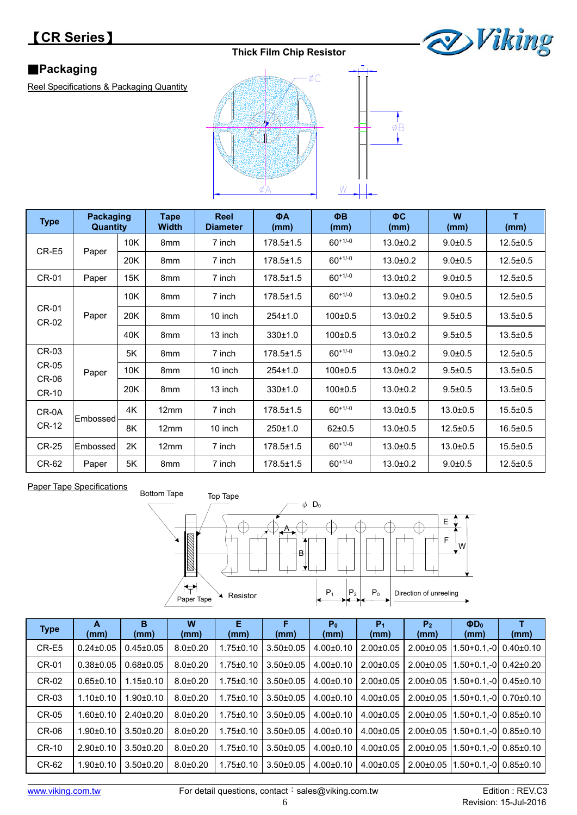# 【**CR Series**】

### **Thick Film Chip Resistor**



### **Packaging**

Reel Specifications & Packaging Quantity



 $\frac{1}{\phi_{B}}$  $\mathbf{r}$ 

| <b>Type</b>                  | <b>Packaging</b><br>Quantity |     | <b>Tape</b><br><b>Width</b> | ΦB<br>ΦA<br><b>Reel</b><br><b>Diameter</b><br>(mm)<br>(mm) |                 | $\Phi C$<br>(mm) | W<br>(mm)      | T<br>(mm)      |                |
|------------------------------|------------------------------|-----|-----------------------------|------------------------------------------------------------|-----------------|------------------|----------------|----------------|----------------|
| CR-E5                        |                              | 10K | 8 <sub>mm</sub>             | 7 inch                                                     | $178.5 \pm 1.5$ | $60^{+1/-0}$     | $13.0 + 0.2$   | $9.0 + 0.5$    | $12.5 \pm 0.5$ |
|                              | Paper                        | 20K | 8mm                         | 7 inch                                                     | $178.5 \pm 1.5$ | $60^{+1/-0}$     | $13.0 + 0.2$   | $9.0 + 0.5$    | $12.5 \pm 0.5$ |
| CR-01                        | Paper                        | 15K | 8mm                         | 7 inch                                                     | $178.5 \pm 1.5$ | $60^{+1/-0}$     | $13.0 + 0.2$   | $9.0 + 0.5$    | $12.5 \pm 0.5$ |
|                              |                              | 10K | 8 <sub>mm</sub>             | 7 inch                                                     | $178.5 \pm 1.5$ | $60^{+1/-0}$     | $13.0 + 0.2$   | $9.0 + 0.5$    | $12.5 \pm 0.5$ |
| CR-01<br>CR-02               | Paper                        | 20K | 8 <sub>mm</sub>             | 10 inch                                                    | $254 \pm 1.0$   | $100+0.5$        | $13.0 + 0.2$   | $9.5 \pm 0.5$  | $13.5 \pm 0.5$ |
|                              |                              | 40K | 8 <sub>mm</sub>             | 13 inch                                                    | 330±1.0         | $100+0.5$        | $13.0 + 0.2$   | $9.5 \pm 0.5$  | $13.5 \pm 0.5$ |
| $CR-03$                      |                              | 5K  | 8 <sub>mm</sub>             | 7 inch                                                     | $178.5 \pm 1.5$ | $60^{+1/-0}$     | $13.0 \pm 0.2$ | $9.0 + 0.5$    | $12.5 \pm 0.5$ |
| <b>CR-05</b><br><b>CR-06</b> | Paper                        | 10K | 8 <sub>mm</sub>             | 10 inch                                                    | $254 \pm 1.0$   | $100+0.5$        | $13.0 + 0.2$   | $9.5 \pm 0.5$  | $13.5 \pm 0.5$ |
| <b>CR-10</b>                 |                              | 20K | 8 <sub>mm</sub>             | 13 inch                                                    | 330±1.0         | $100+0.5$        | $13.0 + 0.2$   | $9.5 \pm 0.5$  | $13.5 \pm 0.5$ |
| CR-0A                        | Embossed                     | 4K  | 12mm                        | 7 inch                                                     | $178.5 \pm 1.5$ | $60^{+1/-0}$     | $13.0 \pm 0.5$ | $13.0 + 0.5$   | $15.5 \pm 0.5$ |
| <b>CR-12</b>                 |                              | 8K  | 12mm                        | 10 inch                                                    | 250±1.0         | $62+0.5$         | $13.0 + 0.5$   | $12.5 \pm 0.5$ | $16.5 \pm 0.5$ |
| <b>CR-25</b>                 | Embossed                     | 2K  | 12mm                        | 7 inch                                                     | $178.5 \pm 1.5$ | $60^{+1/-0}$     | $13.0 + 0.5$   | $13.0 + 0.5$   | $15.5 \pm 0.5$ |
| CR-62                        | Paper                        | 5K  | 8 <sub>mm</sub>             | 7 inch                                                     | $178.5 \pm 1.5$ | $60+1/-0$        | $13.0 \pm 0.2$ | $9.0 + 0.5$    | $12.5 \pm 0.5$ |





| <b>Type</b>  | A<br>(mm)       | в<br>(mm)       | W<br>(mm)    | Е<br>(mm)       | F<br>(mm)       | P <sub>0</sub><br>(mm) | P <sub>1</sub><br>(mm) | P <sub>2</sub><br>(mm) | $\Phi$ D <sub>0</sub><br>(mm) | (mm)            |
|--------------|-----------------|-----------------|--------------|-----------------|-----------------|------------------------|------------------------|------------------------|-------------------------------|-----------------|
| CR-E5        | $0.24 \pm 0.05$ | $0.45 \pm 0.05$ | $8.0 + 0.20$ | $1.75 \pm 0.10$ | $3.50 + 0.05$   | $4.00 \pm 0.10$        | $2.00+0.05$            | $2.00 \pm 0.05$        | l.50+0.1.-0l                  | $0.40{\pm}0.10$ |
| CR-01        | $0.38 + 0.05$   | $0.68 + 0.05$   | $8.0 + 0.20$ | $1.75 \pm 0.10$ | $3.50 \pm 0.05$ | $4.00 \pm 0.10$        | $2.00 \pm 0.05$        | $2.00 \pm 0.05$        | $1.50+0.1-010.42\pm0.20$      |                 |
| CR-02        | $0.65 \pm 0.10$ | $1.15 \pm 0.10$ | $8.0 + 0.20$ | $1.75 \pm 0.10$ | $3.50 \pm 0.05$ | $4.00 \pm 0.10$        | $2.00+0.05$            | $2.00 \pm 0.05$        | $1.50+0.1-0$ 0.45±0.10        |                 |
| CR-03        | $1.10+0.10$     | $1.90 + 0.10$   | $8.0 + 0.20$ | $1.75 \pm 0.10$ | $3.50 \pm 0.05$ | $4.00 \pm 0.10$        | $4.00 \pm 0.05$        | $2.00 \pm 0.05$        | $1.50+0.1-010.70\pm0.10$      |                 |
| <b>CR-05</b> | $1.60 \pm 0.10$ | $2.40\pm0.20$   | $8.0 + 0.20$ | $1.75 \pm 0.10$ | $3.50 \pm 0.05$ | $4.00 \pm 0.10$        | $4.00 \pm 0.05$        | $2.00 \pm 0.05$        |                               |                 |
| <b>CR-06</b> | $1.90 \pm 0.10$ | $3.50 + 0.20$   | $8.0 + 0.20$ | $1.75 \pm 0.10$ | $3.50 \pm 0.05$ | $4.00 \pm 0.10$        | $4.00 \pm 0.05$        | $2.00 \pm 0.05$        | $1.50+0.1,-0$ 0.85±0.10       |                 |
| <b>CR-10</b> | $2.90+0.10$     | $3.50 + 0.20$   | $8.0 + 0.20$ | $1.75 \pm 0.10$ | $3.50 + 0.05$   | $4.00 \pm 0.10$        | $4.00 \pm 0.05$        | $2.00+0.05$            | $1.50 + 0.1 - 0$              | $0.85 \pm 0.10$ |
| CR-62        | $1.90 \pm 0.10$ | $3.50+0.20$     | $8.0 + 0.20$ | $1.75 \pm 0.10$ | $3.50 + 0.05$   | $4.00 \pm 0.10$        | $4.00 \pm 0.05$        | $2.00 \pm 0.05$        | $1.50 + 0.1 - 0$              | $0.85 \pm 0.10$ |
|              |                 |                 |              |                 |                 |                        |                        |                        |                               |                 |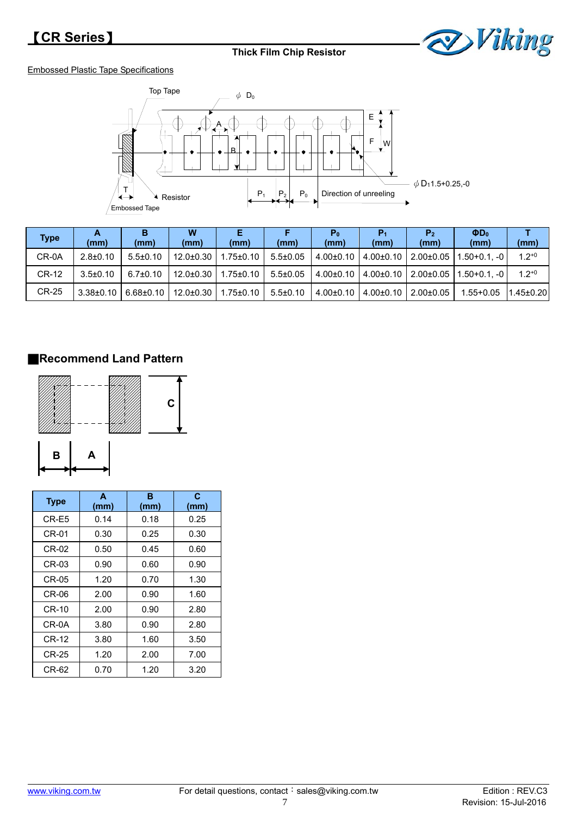

#### Embossed Plastic Tape Specifications



| <b>Type</b> | A<br>(mm)       | в<br>(mm)       | W<br>(mm)       | (mm)            | (mm)           | P <sub>0</sub><br>(mm) | P1<br>(mm)      | P <sub>2</sub><br>(mm) | $\Phi$ D <sub>0</sub><br>(mm) | (mm)       |
|-------------|-----------------|-----------------|-----------------|-----------------|----------------|------------------------|-----------------|------------------------|-------------------------------|------------|
| CR-0A       | $2.8 \pm 0.10$  | $5.5 \pm 0.10$  | $12.0 \pm 0.30$ | .75±0.10        | $5.5 \pm 0.05$ | $4.00 \pm 0.10$        | $4.00 \pm 0.10$ | $2.00 \pm 0.05$        | $1.50 + 0.1 - 0$              | $1.2^{+0}$ |
| CR-12       | $3.5 \pm 0.10$  | $6.7 \pm 0.10$  | $12.0 \pm 0.30$ | $1.75 \pm 0.10$ | $5.5 \pm 0.05$ | $4.00 \pm 0.10$        | $4.00 \pm 0.10$ | $2.00 \pm 0.05$        | $1.50 + 0.1 - 0$              | $1.2^{+0}$ |
| CR-25       | $3.38 \pm 0.10$ | $6.68 \pm 0.10$ | $12.0 \pm 0.30$ | .75±0.10        | $5.5 \pm 0.10$ | $4.00 \pm 0.10$        | $4.00 \pm 0.10$ | $2.00 \pm 0.05$        | $.55 + 0.05$                  | 1.45±0.20  |

### ■**Recommend Land Pattern**



| <b>Type</b> | A<br>(mm) | в<br>(mm) | C<br>(mm) |  |  |
|-------------|-----------|-----------|-----------|--|--|
| CR-E5       | 0.14      | 0.18      | 0.25      |  |  |
| CR-01       | 0.30      | 0.25      | 0.30      |  |  |
| CR-02       | 0.50      | 0.45      | 0.60      |  |  |
| CR-03       | 0.90      | 0.60      | 0.90      |  |  |
| CR-05       | 1.20      | 0.70      | 1.30      |  |  |
| CR-06       | 2.00      | 0.90      | 1.60      |  |  |
| CR-10       | 2.00      | 0.90      | 2.80      |  |  |
| CR-0A       | 3.80      | 0.90      | 2.80      |  |  |
| $CR-12$     | 3.80      | 1.60      | 3.50      |  |  |
| CR-25       | 1.20      | 2.00      | 7.00      |  |  |
| CR-62       | 0.70      | 1.20      | 3.20      |  |  |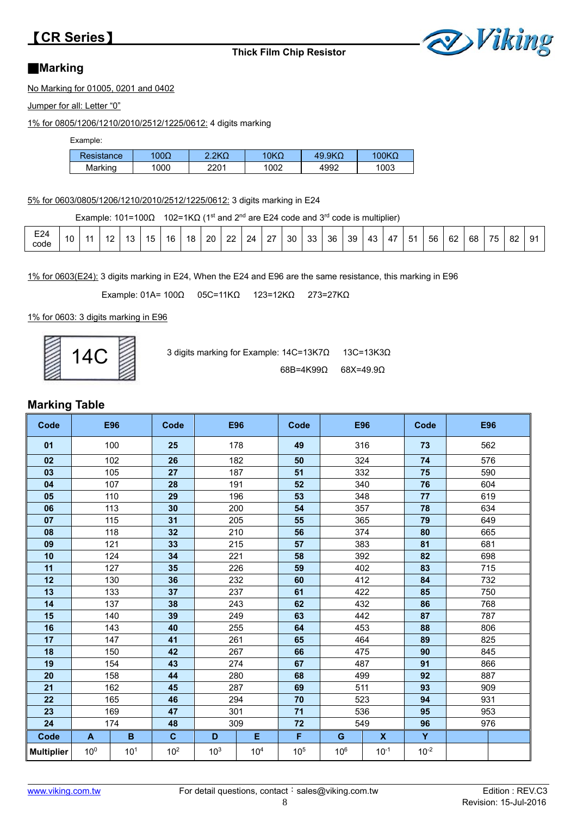# 【**CR Series**】

**Thick Film Chip Resistor** 



### ■**Marking**

No Marking for 01005, 0201 and 0402

Jumper for all: Letter "0"

1% for 0805/1206/1210/2010/2512/1225/0612: 4 digits marking

Example:

| Resistance | $00\Omega$ | $2K\Omega$ | '0ΚΩ | 49.9K <sub>Ω</sub> | '00KΩ |
|------------|------------|------------|------|--------------------|-------|
| Marking    | 1000       | 2201       | 1002 | 4992               | 1003  |

5% for 0603/0805/1206/1210/2010/2512/1225/0612: 3 digits marking in E24

Example:  $101=100\Omega$  102=1K $\Omega$  (1<sup>st</sup> and 2<sup>nd</sup> are E24 code and 3<sup>rd</sup> code is multiplier)

| E24<br>code | 10 | $\overline{A}$ | $\sqrt{2}$<br>$\epsilon$ | $\overline{a}$ | 15 | 16 | 18 | 20 | 22 | 24 | 27 | 30 | 33 | 36 | 39 | 43 | $\overline{\phantom{0}}$<br>4 | $5^{\prime}$ | 56 | 62 | 68 | 75 | 82 | $\Omega$ 1 |  |
|-------------|----|----------------|--------------------------|----------------|----|----|----|----|----|----|----|----|----|----|----|----|-------------------------------|--------------|----|----|----|----|----|------------|--|
|-------------|----|----------------|--------------------------|----------------|----|----|----|----|----|----|----|----|----|----|----|----|-------------------------------|--------------|----|----|----|----|----|------------|--|

1% for 0603(E24): 3 digits marking in E24, When the E24 and E96 are the same resistance, this marking in E96

Example: 01A= 100Ω 05C=11KΩ 123=12KΩ 273=27KΩ

1% for 0603: 3 digits marking in E96

| $\overline{4}$ |  |
|----------------|--|
|                |  |

| $AC \n$ | 3 digits marking for Example: $14C = 13K7\Omega$ 13C=13K3Q |  |
|---------|------------------------------------------------------------|--|
|         | $68B = 4K99Q$ $68X = 49.9Q$                                |  |

### **Marking Table**

| Code              |                 | <b>E96</b>      | Code            |                 | E96             | Code            |                 | <b>E96</b>   | Code      |     | <b>E96</b> |  |     |
|-------------------|-----------------|-----------------|-----------------|-----------------|-----------------|-----------------|-----------------|--------------|-----------|-----|------------|--|-----|
| 01                |                 | 100             | 25              |                 | 178             | 49              |                 | 316          | 73        |     | 562        |  |     |
| 02                |                 | 102             | 26              |                 | 182             | 50              |                 | 324          | 74        | 576 |            |  |     |
| 03                |                 | 105             | 27              |                 | 187             | 51              |                 | 332          | 75        |     | 590        |  |     |
| 04                |                 | 107             | 28              |                 | 191             | 52              |                 | 340          | 76        |     | 604        |  |     |
| 05                |                 | 110             | 29              |                 | 196             | 53              |                 | 348          | 77        |     | 619        |  |     |
| 06                |                 | 113             | 30              |                 | 200             | 54              |                 | 357          | 78        |     | 634        |  |     |
| 07                |                 | 115             | 31              |                 | 205             | 55              |                 | 365          | 79        |     | 649        |  |     |
| 08                |                 | 118             | 32              |                 | 210             | 56              |                 | 374          | 80        |     | 665        |  |     |
| 09                |                 | 121             | 33              |                 | 215             | 57              |                 | 383          | 81        |     | 681        |  |     |
| 10                |                 | 124             | 34              |                 | 221             | 58              |                 | 392          | 82        |     | 698        |  |     |
| 11                |                 | 127             | 35              | 226             |                 | 59              |                 | 402          |           |     | 715        |  |     |
| 12                |                 | 130             | 36              |                 | 232             | 60              |                 | 412          | 84        |     | 732        |  |     |
| 13                |                 | 133             | 37              |                 | 237             | 61              |                 | 422          | 85        |     | 750        |  |     |
| 14                |                 | 137             | 38              |                 | 243             | 62              |                 | 432          |           |     | 768        |  |     |
| 15                | 140             |                 | 39              | 249             |                 |                 |                 | 63           |           | 442 | 87         |  | 787 |
| 16                |                 | 143             | 40              |                 | 255             | 64              | 453             |              | 88        |     | 806        |  |     |
| 17                |                 | 147             | 41              |                 | 261             | 65              | 464             |              | 89        |     | 825        |  |     |
| 18                |                 | 150             | 42              |                 | 267             | 66              |                 | 475          | 90        |     | 845        |  |     |
| 19                |                 | 154             | 43              |                 | 274             | 67              |                 | 487          | 91        |     | 866        |  |     |
| 20                |                 | 158             | 44              |                 | 280             | 68              |                 | 499          | 92        |     | 887        |  |     |
| 21                |                 | 162             | 45              |                 | 287             | 69              |                 | 511          | 93        |     | 909        |  |     |
| 22                |                 | 165             | 46              |                 | 294             | 70              |                 | 523          | 94        |     | 931        |  |     |
| 23                |                 | 169             | 47              |                 | 301             | 71              |                 | 536          | 95        |     | 953        |  |     |
| 24                |                 | 174             | 48              |                 | 309             | 72              |                 | 549          | 96        | 976 |            |  |     |
| Code              | A               | $\mathbf{B}$    | $\mathbf{C}$    | D               | E.              | F               | G               | $\mathbf{x}$ | Y         |     |            |  |     |
| <b>Multiplier</b> | 10 <sup>0</sup> | 10 <sup>1</sup> | 10 <sup>2</sup> | 10 <sup>3</sup> | 10 <sup>4</sup> | 10 <sup>5</sup> | 10 <sup>6</sup> | $10^{-1}$    | $10^{-2}$ |     |            |  |     |